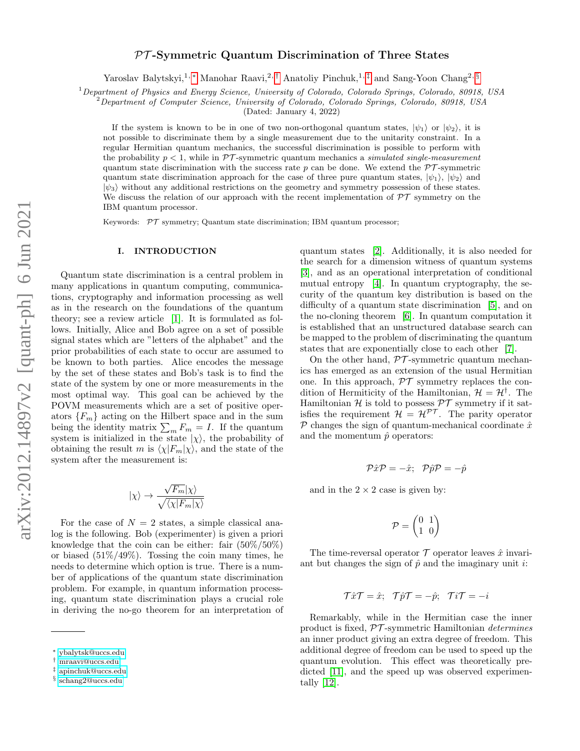## PT -Symmetric Quantum Discrimination of Three States

Yaroslav Balytskyi,<sup>1,\*</sup> Manohar Raavi,<sup>2,[†](#page-0-1)</sup> Anatoliy Pinchuk,<sup>1,[‡](#page-0-2)</sup> and Sang-Yoon Chang<sup>2, [§](#page-0-3)</sup>

 $1$ Department of Physics and Energy Science, University of Colorado, Colorado Springs, Colorado, 80918, USA

 $^{2}$ Department of Computer Science, University of Colorado, Colorado Springs, Colorado, 80918, USA

(Dated: January 4, 2022)

If the system is known to be in one of two non-orthogonal quantum states,  $|\psi_1\rangle$  or  $|\psi_2\rangle$ , it is not possible to discriminate them by a single measurement due to the unitarity constraint. In a regular Hermitian quantum mechanics, the successful discrimination is possible to perform with the probability  $p < 1$ , while in PT-symmetric quantum mechanics a *simulated single-measurement* quantum state discrimination with the success rate p can be done. We extend the  $\mathcal{PT}$ -symmetric quantum state discrimination approach for the case of three pure quantum states,  $|\psi_1\rangle$ ,  $|\psi_2\rangle$  and  $|\psi_3\rangle$  without any additional restrictions on the geometry and symmetry possession of these states. We discuss the relation of our approach with the recent implementation of  $\mathcal{PT}$  symmetry on the IBM quantum processor.

Keywords:  $\mathcal{PT}$  symmetry; Quantum state discrimination; IBM quantum processor;

## I. INTRODUCTION

Quantum state discrimination is a central problem in many applications in quantum computing, communications, cryptography and information processing as well as in the research on the foundations of the quantum theory; see a review article [\[1\]](#page-5-0). It is formulated as follows. Initially, Alice and Bob agree on a set of possible signal states which are "letters of the alphabet" and the prior probabilities of each state to occur are assumed to be known to both parties. Alice encodes the message by the set of these states and Bob's task is to find the state of the system by one or more measurements in the most optimal way. This goal can be achieved by the POVM measurements which are a set of positive operators  ${F_m}$  acting on the Hilbert space and in the sum being the identity matrix  $\sum_m F_m = I$ . If the quantum system is initialized in the state  $|\chi\rangle$ , the probability of obtaining the result m is  $\langle \chi | F_m | \chi \rangle$ , and the state of the system after the measurement is:

$$
|\chi\rangle\rightarrow\frac{\sqrt{F_m}|\chi\rangle}{\sqrt{\langle\chi|F_m|\chi\rangle}}
$$

For the case of  $N = 2$  states, a simple classical analog is the following. Bob (experimenter) is given a priori knowledge that the coin can be either: fair  $(50\%/50\%)$ or biased  $(51\%/49\%)$ . Tossing the coin many times, he needs to determine which option is true. There is a number of applications of the quantum state discrimination problem. For example, in quantum information processing, quantum state discrimination plays a crucial role in deriving the no-go theorem for an interpretation of

quantum states [\[2\]](#page-5-1). Additionally, it is also needed for the search for a dimension witness of quantum systems [\[3\]](#page-5-2), and as an operational interpretation of conditional mutual entropy [\[4\]](#page-5-3). In quantum cryptography, the security of the quantum key distribution is based on the difficulty of a quantum state discrimination [\[5\]](#page-5-4), and on the no-cloning theorem [\[6\]](#page-5-5). In quantum computation it is established that an unstructured database search can be mapped to the problem of discriminating the quantum states that are exponentially close to each other [\[7\]](#page-5-6).

On the other hand,  $\mathcal{PT}$ -symmetric quantum mechanics has emerged as an extension of the usual Hermitian one. In this approach,  $\mathcal{PT}$  symmetry replaces the condition of Hermiticity of the Hamiltonian,  $\mathcal{H} = \mathcal{H}^{\dagger}$ . The Hamiltonian  $\mathcal H$  is told to possess  $\mathcal PT$  symmetry if it satisfies the requirement  $\mathcal{H} = \mathcal{H}^{\mathcal{PT}}$ . The parity operator  $P$  changes the sign of quantum-mechanical coordinate  $\hat{x}$ and the momentum  $\hat{p}$  operators:

$$
\mathcal{P}\hat{x}\mathcal{P}=-\hat{x};\ \ \mathcal{P}\hat{p}\mathcal{P}=-\hat{p}
$$

and in the  $2 \times 2$  case is given by:

$$
\mathcal{P}=\begin{pmatrix}0&1\\1&0\end{pmatrix}
$$

The time-reversal operator  $\mathcal T$  operator leaves  $\hat x$  invariant but changes the sign of  $\hat{p}$  and the imaginary unit *i*:

$$
\mathcal{T}\hat{x}\mathcal{T} = \hat{x}; \quad \mathcal{T}\hat{p}\mathcal{T} = -\hat{p}; \quad \mathcal{T}i\mathcal{T} = -i
$$

Remarkably, while in the Hermitian case the inner product is fixed,  $\mathcal{PT}$ -symmetric Hamiltonian *determines* an inner product giving an extra degree of freedom. This additional degree of freedom can be used to speed up the quantum evolution. This effect was theoretically pre-dicted [\[11\]](#page-5-7), and the speed up was observed experimentally [\[12\]](#page-5-8).

<span id="page-0-0"></span><sup>∗</sup> [ybalytsk@uccs.edu](mailto:ybalytsk@uccs.edu)

<span id="page-0-1"></span><sup>†</sup> [mraavi@uccs.edu](mailto:mraavi@uccs.edu)

<span id="page-0-2"></span><sup>‡</sup> [apinchuk@uccs.edu](mailto:apinchuk@uccs.edu)

<span id="page-0-3"></span><sup>§</sup> [schang2@uccs.edu](mailto:schang2@uccs.edu)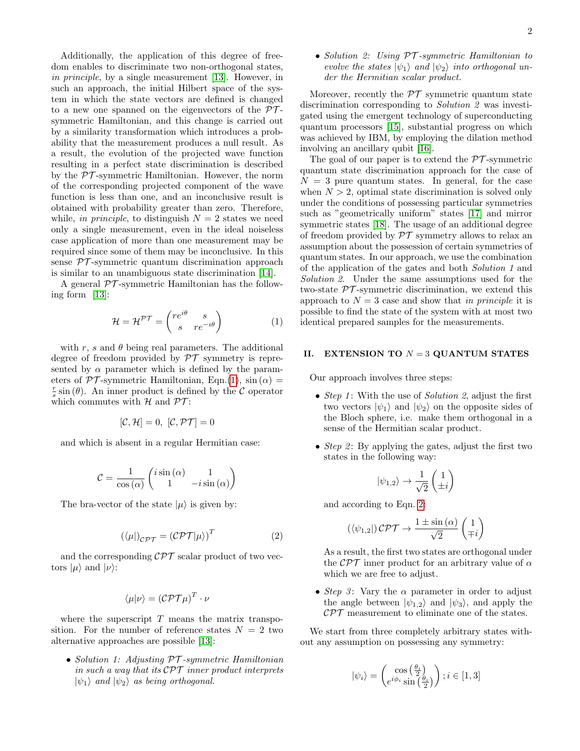Additionally, the application of this degree of freedom enables to discriminate two non-orthogonal states, in principle, by a single measurement [\[13\]](#page-5-9). However, in such an approach, the initial Hilbert space of the system in which the state vectors are defined is changed to a new one spanned on the eigenvectors of the  $\mathcal{PT}$ symmetric Hamiltonian, and this change is carried out by a similarity transformation which introduces a probability that the measurement produces a null result. As a result, the evolution of the projected wave function resulting in a perfect state discrimination is described by the  $PT$ -symmetric Hamiltonian. However, the norm of the corresponding projected component of the wave function is less than one, and an inconclusive result is obtained with probability greater than zero. Therefore, while, in principle, to distinguish  $N = 2$  states we need only a single measurement, even in the ideal noiseless case application of more than one measurement may be required since some of them may be inconclusive. In this sense  $\mathcal{PT}$ -symmetric quantum discrimination approach is similar to an unambiguous state discrimination [\[14\]](#page-5-10).

A general  $\mathcal{PT}$ -symmetric Hamiltonian has the following form [\[13\]](#page-5-9):

<span id="page-1-0"></span>
$$
\mathcal{H} = \mathcal{H}^{\mathcal{PT}} = \begin{pmatrix} re^{i\theta} & s \\ s & re^{-i\theta} \end{pmatrix}
$$
 (1)

with r, s and  $\theta$  being real parameters. The additional degree of freedom provided by  $\mathcal{PT}$  symmetry is represented by  $\alpha$  parameter which is defined by the parameters of  $\mathcal{PT}$ -symmetric Hamiltonian, Eqn.[\(1\)](#page-1-0), sin( $\alpha$ ) =  $\frac{r}{s}$  sin (θ). An inner product is defined by the C operator which commutes with  $H$  and  $\mathcal{PT}$ :

$$
[\mathcal{C}, \mathcal{H}] = 0, \ [\mathcal{C}, \mathcal{PT}] = 0
$$

and which is absent in a regular Hermitian case:

$$
\mathcal{C} = \frac{1}{\cos{(\alpha)}} \begin{pmatrix} i \sin{(\alpha)} & 1 \\ 1 & -i \sin{(\alpha)} \end{pmatrix}
$$

The bra-vector of the state  $|\mu\rangle$  is given by:

<span id="page-1-1"></span>
$$
(\langle \mu |)_{\mathcal{CPT}} = (\mathcal{CPT}|\mu \rangle)^{T} \tag{2}
$$

and the corresponding  $\mathcal{CPT}$  scalar product of two vectors  $|\mu\rangle$  and  $|\nu\rangle$ :

$$
\langle \mu | \nu \rangle = (\mathcal{CPT}\mu)^T \cdot \nu
$$

where the superscript  $T$  means the matrix transposition. For the number of reference states  $N = 2$  two alternative approaches are possible [\[13\]](#page-5-9):

• Solution 1: Adjusting PT -symmetric Hamiltonian in such a way that its  $\mathcal{CPT}$  inner product interprets  $|\psi_1\rangle$  and  $|\psi_2\rangle$  as being orthogonal.

• Solution 2: Using PT -symmetric Hamiltonian to evolve the states  $|\psi_1\rangle$  and  $|\psi_2\rangle$  into orthogonal under the Hermitian scalar product.

Moreover, recently the  $\mathcal{PT}$  symmetric quantum state discrimination corresponding to *Solution 2* was investigated using the emergent technology of superconducting quantum processors [\[15\]](#page-5-11), substantial progress on which was achieved by IBM, by employing the dilation method involving an ancillary qubit [\[16\]](#page-5-12).

The goal of our paper is to extend the  $\mathcal{PT}$ -symmetric quantum state discrimination approach for the case of  $N = 3$  pure quantum states. In general, for the case when  $N > 2$ , optimal state discrimination is solved only under the conditions of possessing particular symmetries such as "geometrically uniform" states [\[17\]](#page-5-13) and mirror symmetric states [\[18\]](#page-5-14). The usage of an additional degree of freedom provided by  $\mathcal{PT}$  symmetry allows to relax an assumption about the possession of certain symmetries of quantum states. In our approach, we use the combination of the application of the gates and both Solution 1 and Solution 2. Under the same assumptions used for the two-state  $\mathcal{PT}$ -symmetric discrimination, we extend this approach to  $N = 3$  case and show that in principle it is possible to find the state of the system with at most two identical prepared samples for the measurements.

## II. EXTENSION TO  $N = 3$  QUANTUM STATES

Our approach involves three steps:

- Step 1: With the use of Solution 2, adjust the first two vectors  $|\psi_1\rangle$  and  $|\psi_2\rangle$  on the opposite sides of the Bloch sphere, i.e. make them orthogonal in a sense of the Hermitian scalar product.
- Step 2: By applying the gates, adjust the first two states in the following way:

$$
|\psi_{1,2}\rangle\rightarrow\frac{1}{\sqrt{2}}\begin{pmatrix}1\\\pm i\end{pmatrix}
$$

and according to Eqn. [2:](#page-1-1)

$$
(\langle \psi_{1,2} |) \mathcal{CPT} \rightarrow \frac{1 \pm \sin(\alpha)}{\sqrt{2}} \begin{pmatrix} 1 \\ \mp i \end{pmatrix}
$$

As a result, the first two states are orthogonal under the  $\mathcal{CPT}$  inner product for an arbitrary value of  $\alpha$ which we are free to adjust.

• Step 3: Vary the  $\alpha$  parameter in order to adjust the angle between  $|\psi_{1,2}\rangle$  and  $|\psi_3\rangle$ , and apply the  $\mathcal{CPT}$  measurement to eliminate one of the states.

We start from three completely arbitrary states without any assumption on possessing any symmetry:

$$
\left|\psi_{i}\right\rangle = \begin{pmatrix} \cos\left(\frac{\theta_{i}}{2}\right) \\ e^{i\phi_{i}}\sin\left(\frac{\theta_{i}}{2}\right) \end{pmatrix}; i \in [1,3]
$$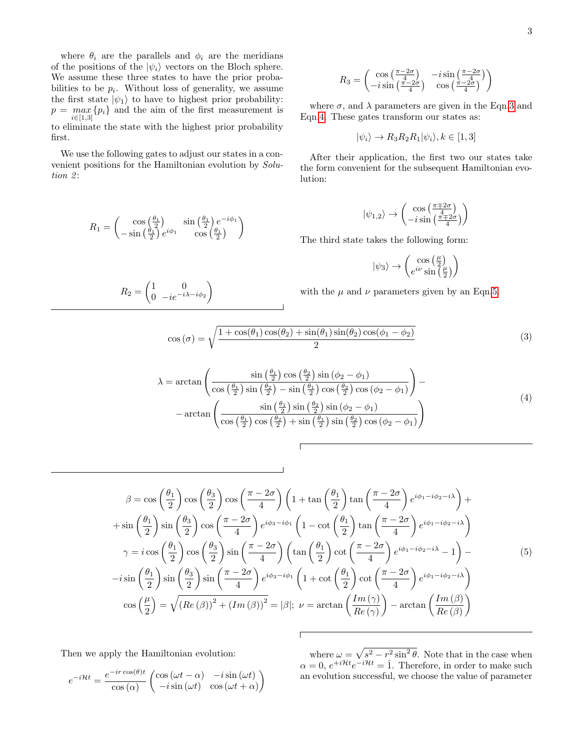where  $\theta_i$  are the parallels and  $\phi_i$  are the meridians of the positions of the  $|\psi_i\rangle$  vectors on the Bloch sphere. We assume these three states to have the prior probabilities to be  $p_i$ . Without loss of generality, we assume the first state  $|\psi_1\rangle$  to have to highest prior probability:  $p = \max_{i \in [1, 2]} \{p_i\}$  and the aim of the first measurement is  $i \in [1,3]$ to eliminate the state with the highest prior probability first.

We use the following gates to adjust our states in a convenient positions for the Hamiltonian evolution by Solu $tion 2:$ 

$$
R_1 = \begin{pmatrix} \cos\left(\frac{\theta_1}{2}\right) & \sin\left(\frac{\theta_1}{2}\right)e^{-i\phi_1} \\ -\sin\left(\frac{\theta_1}{2}\right)e^{i\phi_1} & \cos\left(\frac{\theta_1}{2}\right) \end{pmatrix}
$$

 $\begin{pmatrix} 1 & 0 \\ 0 & 0 \end{pmatrix}$  $0 -ie^{-i\lambda - i\phi_2}$ 

 $\setminus$ 

 $R_2 =$ 

$$
R_3 = \begin{pmatrix} \cos\left(\frac{\pi - 2\sigma}{4}\right) & -i\sin\left(\frac{\pi - 2\sigma}{4}\right) \\ -i\sin\left(\frac{\pi - 2\sigma}{4}\right) & \cos\left(\frac{\pi - 2\sigma}{4}\right) \end{pmatrix}
$$

where  $\sigma$ , and  $\lambda$  parameters are given in the Eqn[.3](#page-2-0) and Eqn[.4.](#page-2-1) These gates transform our states as:

$$
|\psi_i\rangle \to R_3 R_2 R_1 |\psi_i\rangle, k \in [1,3]
$$

After their application, the first two our states take the form convenient for the subsequent Hamiltonian evolution:

$$
|\psi_{1,2}\rangle\rightarrow \begin{pmatrix}\cos\left(\frac{\pi\mp2\sigma}{4}\right)\\-i\sin\left(\frac{\pi\mp2\sigma}{4}\right)\end{pmatrix}
$$

The third state takes the following form:

$$
|\psi_3\rangle \rightarrow \begin{pmatrix} \cos\left(\frac{\mu}{2}\right) \\ e^{i\nu}\sin\left(\frac{\mu}{2}\right) \end{pmatrix}
$$

with the  $\mu$  and  $\nu$  parameters given by an Eqn[.5.](#page-2-2)

<span id="page-2-0"></span>
$$
\cos(\sigma) = \sqrt{\frac{1 + \cos(\theta_1)\cos(\theta_2) + \sin(\theta_1)\sin(\theta_2)\cos(\phi_1 - \phi_2)}{2}}
$$
(3)

<span id="page-2-1"></span>
$$
\lambda = \arctan\left(\frac{\sin\left(\frac{\theta_1}{2}\right)\cos\left(\frac{\theta_2}{2}\right)\sin\left(\phi_2 - \phi_1\right)}{\cos\left(\frac{\theta_1}{2}\right)\sin\left(\frac{\theta_2}{2}\right) - \sin\left(\frac{\theta_1}{2}\right)\cos\left(\frac{\theta_2}{2}\right)\cos\left(\phi_2 - \phi_1\right)}\right) - \arctan\left(\frac{\sin\left(\frac{\theta_1}{2}\right)\sin\left(\frac{\theta_2}{2}\right)\sin\left(\phi_2 - \phi_1\right)}{\cos\left(\frac{\theta_1}{2}\right)\cos\left(\frac{\theta_2}{2}\right) + \sin\left(\frac{\theta_1}{2}\right)\sin\left(\frac{\theta_2}{2}\right)\cos\left(\phi_2 - \phi_1\right)}\right)
$$
\n(4)

<span id="page-2-2"></span>
$$
\beta = \cos\left(\frac{\theta_1}{2}\right)\cos\left(\frac{\theta_3}{2}\right)\cos\left(\frac{\pi - 2\sigma}{4}\right)\left(1 + \tan\left(\frac{\theta_1}{2}\right)\tan\left(\frac{\pi - 2\sigma}{4}\right)e^{i\phi_1 - i\phi_2 - i\lambda}\right) +
$$
  
+ 
$$
\sin\left(\frac{\theta_1}{2}\right)\sin\left(\frac{\theta_3}{2}\right)\cos\left(\frac{\pi - 2\sigma}{4}\right)e^{i\phi_3 - i\phi_1}\left(1 - \cot\left(\frac{\theta_1}{2}\right)\tan\left(\frac{\pi - 2\sigma}{4}\right)e^{i\phi_1 - i\phi_2 - i\lambda}\right)
$$
  

$$
\gamma = i\cos\left(\frac{\theta_1}{2}\right)\cos\left(\frac{\theta_3}{2}\right)\sin\left(\frac{\pi - 2\sigma}{4}\right)\left(\tan\left(\frac{\theta_1}{2}\right)\cot\left(\frac{\pi - 2\sigma}{4}\right)e^{i\phi_1 - i\phi_2 - i\lambda} - 1\right) -
$$
  
-
$$
i\sin\left(\frac{\theta_1}{2}\right)\sin\left(\frac{\theta_3}{2}\right)\sin\left(\frac{\pi - 2\sigma}{4}\right)e^{i\phi_3 - i\phi_1}\left(1 + \cot\left(\frac{\theta_1}{2}\right)\cot\left(\frac{\pi - 2\sigma}{4}\right)e^{i\phi_1 - i\phi_2 - i\lambda}\right)
$$
  

$$
\cos\left(\frac{\mu}{2}\right) = \sqrt{(Re\left(\beta\right))^2 + (Im\left(\beta\right))^2} = |\beta|; \ \nu = \arctan\left(\frac{Im\left(\gamma\right)}{Re\left(\gamma\right)}\right) - \arctan\left(\frac{Im\left(\beta\right)}{Re\left(\beta\right)}\right)
$$

Then we apply the Hamiltonian evolution:

$$
e^{-i\mathcal{H}t} = \frac{e^{-ir\cos(\theta)t}}{\cos(\alpha)} \begin{pmatrix} \cos(\omega t - \alpha) & -i\sin(\omega t) \\ -i\sin(\omega t) & \cos(\omega t + \alpha) \end{pmatrix}
$$

where  $\omega = \sqrt{s^2 - r^2 \sin^2 \theta}$ . Note that in the case when  $\alpha = 0, e^{+i\mathcal{H}t}e^{-i\mathcal{H}t} = \hat{1}$ . Therefore, in order to make such an evolution successful, we choose the value of parameter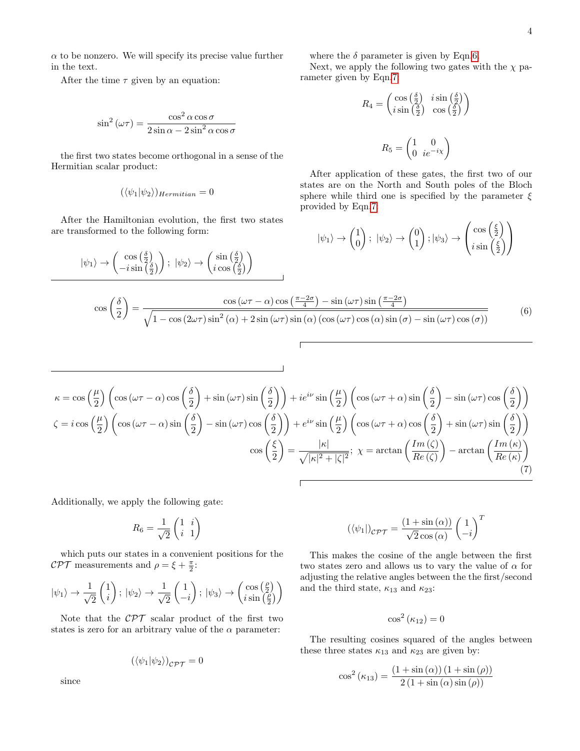$\alpha$  to be nonzero. We will specify its precise value further in the text.

After the time  $\tau$  given by an equation:

$$
\sin^2\left(\omega\tau\right) = \frac{\cos^2\alpha\cos\sigma}{2\sin\alpha - 2\sin^2\alpha\cos\sigma}
$$

the first two states become orthogonal in a sense of the Hermitian scalar product:

$$
(\langle \psi_1 | \psi_2 \rangle)_{Hermitian} = 0
$$

After the Hamiltonian evolution, the first two states are transformed to the following form:

$$
|\psi_1\rangle \rightarrow \begin{pmatrix} \cos\left(\frac{\delta}{2}\right) \\ -i\sin\left(\frac{\delta}{2}\right) \end{pmatrix}; \ |\psi_2\rangle \rightarrow \begin{pmatrix} \sin\left(\frac{\delta}{2}\right) \\ i\cos\left(\frac{\delta}{2}\right) \end{pmatrix}
$$

where the  $\delta$  parameter is given by Eqn[.6.](#page-3-0)

Next, we apply the following two gates with the  $\chi$  parameter given by Eqn[.7:](#page-3-1)

$$
R_4 = \begin{pmatrix} \cos\left(\frac{\delta}{2}\right) & i\sin\left(\frac{\delta}{2}\right) \\ i\sin\left(\frac{\delta}{2}\right) & \cos\left(\frac{\delta}{2}\right) \end{pmatrix}
$$

$$
R_5 = \begin{pmatrix} 1 & 0 \\ 0 & ie^{-i\chi} \end{pmatrix}
$$

After application of these gates, the first two of our states are on the North and South poles of the Bloch sphere while third one is specified by the parameter  $\xi$ provided by Eqn[.7:](#page-3-1)

$$
|\psi_1\rangle \rightarrow \begin{pmatrix} 1 \\ 0 \end{pmatrix}; |\psi_2\rangle \rightarrow \begin{pmatrix} 0 \\ 1 \end{pmatrix}; |\psi_3\rangle \rightarrow \begin{pmatrix} \cos\left(\frac{\xi}{2}\right) \\ i\sin\left(\frac{\xi}{2}\right) \end{pmatrix}
$$

<span id="page-3-0"></span>
$$
\cos\left(\frac{\delta}{2}\right) = \frac{\cos\left(\omega\tau - \alpha\right)\cos\left(\frac{\pi - 2\sigma}{4}\right) - \sin\left(\omega\tau\right)\sin\left(\frac{\pi - 2\sigma}{4}\right)}{\sqrt{1 - \cos\left(2\omega\tau\right)\sin^2\left(\alpha\right) + 2\sin\left(\omega\tau\right)\sin\left(\alpha\right)\left(\cos\left(\omega\tau\right)\cos\left(\alpha\right)\sin\left(\sigma\right) - \sin\left(\omega\tau\right)\cos\left(\sigma\right)\right)}}\tag{6}
$$

<span id="page-3-1"></span>
$$
\kappa = \cos\left(\frac{\mu}{2}\right) \left(\cos\left(\omega\tau - \alpha\right)\cos\left(\frac{\delta}{2}\right) + \sin\left(\omega\tau\right)\sin\left(\frac{\delta}{2}\right)\right) + ie^{i\nu}\sin\left(\frac{\mu}{2}\right) \left(\cos\left(\omega\tau + \alpha\right)\sin\left(\frac{\delta}{2}\right) - \sin\left(\omega\tau\right)\cos\left(\frac{\delta}{2}\right)\right)
$$

$$
\zeta = i\cos\left(\frac{\mu}{2}\right) \left(\cos\left(\omega\tau - \alpha\right)\sin\left(\frac{\delta}{2}\right) - \sin\left(\omega\tau\right)\cos\left(\frac{\delta}{2}\right)\right) + e^{i\nu}\sin\left(\frac{\mu}{2}\right) \left(\cos\left(\omega\tau + \alpha\right)\cos\left(\frac{\delta}{2}\right) + \sin\left(\omega\tau\right)\sin\left(\frac{\delta}{2}\right)\right)
$$

$$
\cos\left(\frac{\xi}{2}\right) = \frac{|\kappa|}{\sqrt{|\kappa|^2 + |\zeta|^2}}; \ \chi = \arctan\left(\frac{Im\left(\zeta\right)}{Re\left(\zeta\right)}\right) - \arctan\left(\frac{Im\left(\kappa\right)}{Re\left(\kappa\right)}\right) \tag{7}
$$

Additionally, we apply the following gate:

$$
R_6=\frac{1}{\sqrt{2}}\begin{pmatrix}1&i\\i&1\end{pmatrix}
$$

which puts our states in a convenient positions for the CPT measurements and  $\rho = \xi + \frac{\pi}{2}$ :

$$
\left|\psi_{1}\right\rangle \rightarrow\frac{1}{\sqrt{2}}\begin{pmatrix}1\\i\end{pmatrix};\:\left|\psi_{2}\right\rangle \rightarrow\frac{1}{\sqrt{2}}\begin{pmatrix}1\\-i\end{pmatrix};\:\left|\psi_{3}\right\rangle \rightarrow\begin{pmatrix}\cos\left(\frac{\rho}{2}\right)\\i\sin\left(\frac{\rho}{2}\right)\end{pmatrix}
$$

Note that the  $\mathcal{CPT}$  scalar product of the first two states is zero for an arbitrary value of the  $\alpha$  parameter:

$$
(\langle \psi_1 | \psi_2 \rangle)_{\mathcal{CPT}} = 0
$$

since

$$
(\langle \psi_1 | \rangle_{\mathcal{CPT}} = \frac{(1 + \sin(\alpha))}{\sqrt{2}\cos(\alpha)} \begin{pmatrix} 1 \\ -i \end{pmatrix}^T
$$

This makes the cosine of the angle between the first two states zero and allows us to vary the value of  $\alpha$  for adjusting the relative angles between the the first/second and the third state,  $\kappa_{13}$  and  $\kappa_{23}$ :

$$
\cos^2{(\kappa_{12})} = 0
$$

The resulting cosines squared of the angles between these three states  $\kappa_{13}$  and  $\kappa_{23}$  are given by:

$$
\cos^2 (\kappa_{13}) = \frac{(1 + \sin (\alpha)) (1 + \sin (\rho))}{2 (1 + \sin (\alpha) \sin (\rho))}
$$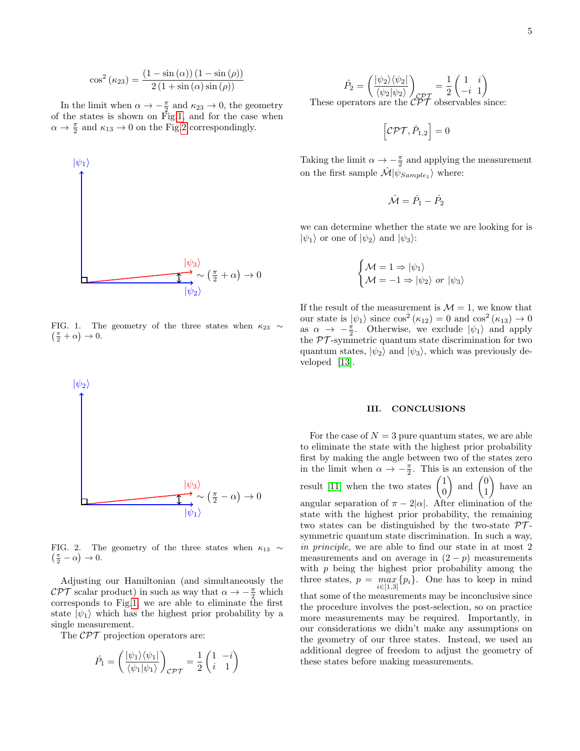$$
\cos^2(\kappa_{23}) = \frac{(1 - \sin(\alpha)) (1 - \sin(\rho))}{2 (1 + \sin(\alpha)) \sin(\rho))}
$$

In the limit when  $\alpha \to -\frac{\pi}{2}$  and  $\kappa_{23} \to 0$ , the geometry of the states is shown on Fig[.1,](#page-4-0) and for the case when  $\alpha \to \frac{\pi}{2}$  and  $\kappa_{13} \to 0$  on the Fig[.2](#page-4-1) correspondingly.



<span id="page-4-0"></span>FIG. 1. The geometry of the three states when  $\kappa_{23} \sim$  $\left(\frac{\pi}{2} + \alpha\right) \to 0.$ 



<span id="page-4-1"></span>FIG. 2. The geometry of the three states when  $\kappa_{13} \sim$  $\left(\frac{\pi}{2} - \alpha\right) \to 0.$ 

Adjusting our Hamiltonian (and simultaneously the  $\mathcal{CPT}$  scalar product) in such as way that  $\alpha \to -\frac{\pi}{2}$  which corresponds to Fig[.1,](#page-4-0) we are able to eliminate the first state  $|\psi_1\rangle$  which has the highest prior probability by a single measurement.

The  $\mathcal{CPT}$  projection operators are:

$$
\hat{P}_1 = \left( \frac{|\psi_1\rangle\langle\psi_1|}{\langle\psi_1|\psi_1\rangle} \right)_{\mathcal{CPT}} = \frac{1}{2} \begin{pmatrix} 1 & -i \\ i & 1 \end{pmatrix}
$$

$$
\hat{P}_2 = \left(\frac{|\psi_2\rangle\langle\psi_2|}{\langle\psi_2|\psi_2\rangle}\right)_{\mathcal{CPT}} = \frac{1}{2} \begin{pmatrix} 1 & i \\ -i & 1 \end{pmatrix}
$$
\nThese operators are the  $\mathcal{CPT}$  observables since:

$$
\left[ \mathcal{CPT},\hat{P}_{1,2}\right] =0
$$

Taking the limit  $\alpha \to -\frac{\pi}{2}$  and applying the measurement on the first sample  $\hat{\mathcal{M}}|\psi_{Sample_1}\rangle$  where:

$$
\hat{\mathcal{M}} = \hat{P}_1 - \hat{P}_2
$$

we can determine whether the state we are looking for is  $|\psi_1\rangle$  or one of  $|\psi_2\rangle$  and  $|\psi_3\rangle$ :

$$
\begin{cases} \mathcal{M}=1 \Rightarrow |\psi_1\rangle \\ \mathcal{M}=-1 \Rightarrow |\psi_2\rangle \text{ or } |\psi_3\rangle \end{cases}
$$

If the result of the measurement is  $\mathcal{M} = 1$ , we know that our state is  $|\psi_1\rangle$  since  $\cos^2(\kappa_{12}) = 0$  and  $\cos^2(\kappa_{13}) \to 0$ as  $\alpha \to -\frac{\pi}{2}$ . Otherwise, we exclude  $|\psi_1\rangle$  and apply the  $PT$ -symmetric quantum state discrimination for two quantum states,  $|\psi_2\rangle$  and  $|\psi_3\rangle$ , which was previously developed [\[13\]](#page-5-9).

## III. CONCLUSIONS

For the case of  $N = 3$  pure quantum states, we are able to eliminate the state with the highest prior probability first by making the angle between two of the states zero in the limit when  $\alpha \to -\frac{\pi}{2}$ . This is an extension of the result [\[11\]](#page-5-7) when the two states  $\begin{pmatrix} 1 \\ 0 \end{pmatrix}$  $\theta$ ) and  $\begin{pmatrix} 0 \\ 1 \end{pmatrix}$ 1  $\overline{\phantom{0}}$ have an angular separation of  $\pi - 2|\alpha|$ . After elimination of the state with the highest prior probability, the remaining two states can be distinguished by the two-state  $\mathcal{PT}$ symmetric quantum state discrimination. In such a way, in principle, we are able to find our state in at most 2 measurements and on average in  $(2 - p)$  measurements with  $p$  being the highest prior probability among the three states,  $p = \max_{i \in [1,3]} \{p_i\}$ . One has to keep in mind that some of the measurements may be inconclusive since the procedure involves the post-selection, so on practice more measurements may be required. Importantly, in our considerations we didn't make any assumptions on the geometry of our three states. Instead, we used an additional degree of freedom to adjust the geometry of these states before making measurements.